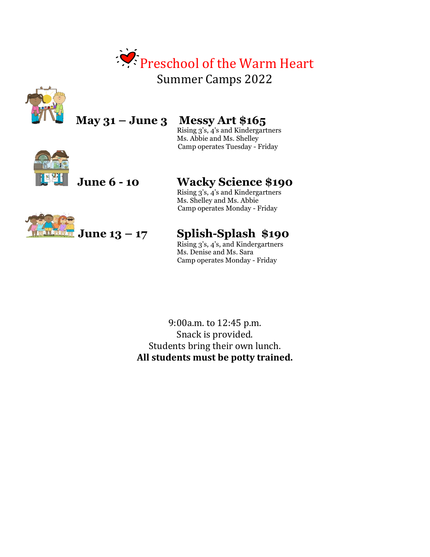



# **May 31 – June 3 Messy Art \$165**

 Rising 3's, 4's and Kindergartners Ms. Abbie and Ms. Shelley Camp operates Tuesday - Friday



## **June 6 - 10 Wacky Science \$190**

 Rising 3's, 4's and Kindergartners Ms. Shelley and Ms. Abbie Camp operates Monday - Friday

### **June 13 – 17 Splish-Splash \$190**

Rising 3's, 4's, and Kindergartners Ms. Denise and Ms. Sara Camp operates Monday - Friday

9:00a.m. to 12:45 p.m. Snack is provided. Students bring their own lunch. **All students must be potty trained.**